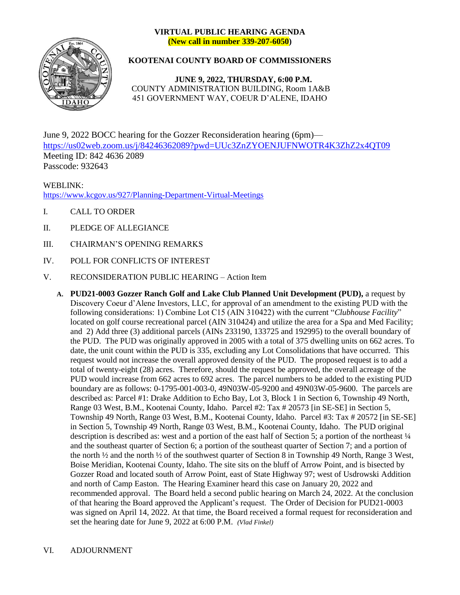## **VIRTUAL PUBLIC HEARING AGENDA (New call in number 339-207-6050)**



## **KOOTENAI COUNTY BOARD OF COMMISSIONERS**

**JUNE 9, 2022, THURSDAY, 6:00 P.M.** COUNTY ADMINISTRATION BUILDING, Room 1A&B 451 GOVERNMENT WAY, COEUR D'ALENE, IDAHO

June 9, 2022 BOCC hearing for the Gozzer Reconsideration hearing (6pm) <https://us02web.zoom.us/j/84246362089?pwd=UUc3ZnZYOENJUFNWOTR4K3ZhZ2x4QT09> Meeting ID: 842 4636 2089 Passcode: 932643

WEBLINK: <https://www.kcgov.us/927/Planning-Department-Virtual-Meetings>

- I. CALL TO ORDER
- II. PLEDGE OF ALLEGIANCE
- III. CHAIRMAN'S OPENING REMARKS
- IV. POLL FOR CONFLICTS OF INTEREST
- V. RECONSIDERATION PUBLIC HEARING Action Item
	- **A. PUD21-0003 Gozzer Ranch Golf and Lake Club Planned Unit Development (PUD),** a request by Discovery Coeur d'Alene Investors, LLC, for approval of an amendment to the existing PUD with the following considerations: 1) Combine Lot C15 (AIN 310422) with the current "*Clubhouse Facility*" located on golf course recreational parcel (AIN 310424) and utilize the area for a Spa and Med Facility; and 2) Add three (3) additional parcels (AINs 233190, 133725 and 192995) to the overall boundary of the PUD. The PUD was originally approved in 2005 with a total of 375 dwelling units on 662 acres. To date, the unit count within the PUD is 335, excluding any Lot Consolidations that have occurred. This request would not increase the overall approved density of the PUD. The proposed request is to add a total of twenty-eight (28) acres. Therefore, should the request be approved, the overall acreage of the PUD would increase from 662 acres to 692 acres. The parcel numbers to be added to the existing PUD boundary are as follows: 0-1795-001-003-0, 49N03W-05-9200 and 49N03W-05-9600. The parcels are described as: Parcel #1: Drake Addition to Echo Bay, Lot 3, Block 1 in Section 6, Township 49 North, Range 03 West, B.M., Kootenai County, Idaho. Parcel #2: Tax # 20573 [in SE-SE] in Section 5, Township 49 North, Range 03 West, B.M., Kootenai County, Idaho. Parcel #3: Tax # 20572 [in SE-SE] in Section 5, Township 49 North, Range 03 West, B.M., Kootenai County, Idaho. The PUD original description is described as: west and a portion of the east half of Section 5; a portion of the northeast  $\frac{1}{4}$ and the southeast quarter of Section 6; a portion of the southeast quarter of Section 7; and a portion of the north ½ and the north ½ of the southwest quarter of Section 8 in Township 49 North, Range 3 West, Boise Meridian, Kootenai County, Idaho. The site sits on the bluff of Arrow Point, and is bisected by Gozzer Road and located south of Arrow Point, east of State Highway 97; west of Usdrowski Addition and north of Camp Easton. The Hearing Examiner heard this case on January 20, 2022 and recommended approval. The Board held a second public hearing on March 24, 2022. At the conclusion of that hearing the Board approved the Applicant's request. The Order of Decision for PUD21-0003 was signed on April 14, 2022. At that time, the Board received a formal request for reconsideration and set the hearing date for June 9, 2022 at 6:00 P.M. *(Vlad Finkel)*